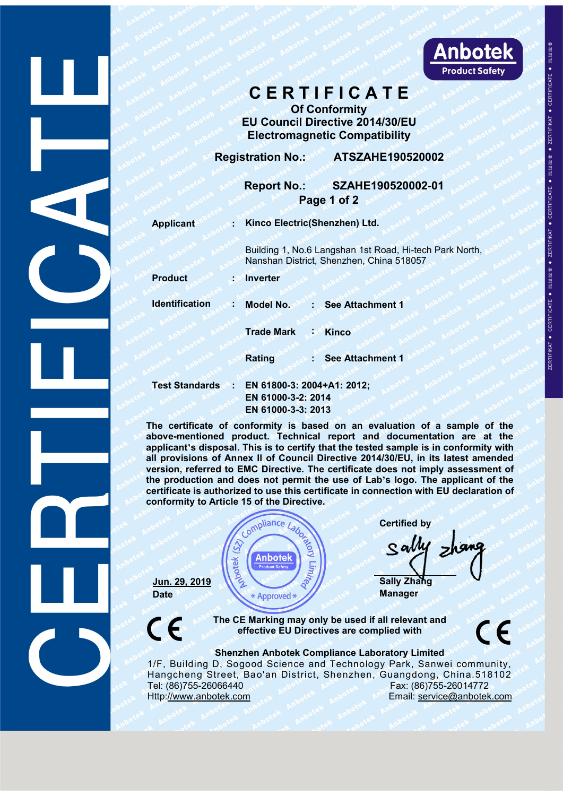

Experience of Conformity<br> **Of Conformity**<br>
CONFORMITY CONFORMITY<br>
CONFORMITY<br>
CONFORMITY<br>
CONFORMITY<br>
CONFORMITY<br>
CONFORMITY<br>
CONFORMITY<br>
CONFORMITY<br>
CONFORMITY

**C E R T I F I C A T E**<br>
Of Conformity<br>
U Council Directive 2014/30/EU<br>
Electromagnetic Compatibility<br>
Tration No.: ATSZAHE190520002<br>
Report No.: SZAHE190520002-01 **EU COUNCIL DIRECT DE COUNCIL DE COUNCIL DE COUNCIL DE COUNCIL DE CONSTANTE DE COUNCIL DE CONSTANTE DE CONSTANTE DE CONSTANTE DE CONSTANTE DE CONSTANTE DE CONSTANTE DE CONSTANTE DE CONSTANTE DE CONSTANTE DE CONSTANTE DE CO** Electromagnetic Compatibility<br>
Report No.: SZAHE190520002-01 **Registration No.: CRIP 2014/30/EU<br>
Registration No.: ATSZAHE190520002-01<br>
Product Safety<br>
Registration No.: ATSZAHE190520002-01<br>
Page 1 of 2** Report No.: SZAHE190520002-01<br>
Report No.: SZAHE190520002-01<br>
Report No.: SZAHE190520002-01<br>
Report No.: SZAHE190520002-01<br>
Report No.: SZAHE190520002-01<br>
Report No.: SZAHE190520002-01<br>
Report No.: SZAHE190520002-01<br>
Repor **Product Safety**<br> **Product Safety**<br> **Product Safety**<br> **Product Safety**<br> **Product Safety**<br> **Product Safety**<br> **Product Safety**<br> **Product Safety**<br> **Product Safety**<br> **Product Safety**<br> **Product Safety**<br> **Product Safety**<br> **Produ CERTIFICATE**<br>
Of Conformity<br> **EU Council Directive 2014/30/EU**<br> **Electromagnetic Compatibility**<br> **Registration No.: ATSZAHE190520002**<br> **Report No.: SZAHE190520002-01**<br>
Page 1 of 2<br>
Applicant<br>
Building 1, No.6 Langshan 1st EU Council Directive 2014/30/EU<br>
Electromagnetic Compatibility<br>
tration No.: ATSZAHE190520002<br>
Report No.: SZAHE190520002-01<br>
Page 1 of 2<br>
Kinco Electric(Shenzhen) Ltd.<br>
Building 1, No.6 Langshan 1st Road, Hi-tech Park Nor Electromagnetic Compatibility<br>
Tration No.: ATSZAHE190520002<br>
Report No.: SZAHE190520002-01<br>
Page 1 of 2<br>
Kinco Electric(Shenzhen) Ltd.<br>
Building 1, No.6 Langshan 1st Road, Hi-tech Park North,<br>
Nanshan District, Shenzhen, **Product : Inverter IDENTIFICATION CONSUMPTER SEE ATTACHMENT CONSUMPTER SEE ATTACHMENT CONSUMPTER SEE ATTACHMENT CONSUMPTER SEE ATTACHMENT CONSUMPTER SEE ATTACHMENT CONSUMPTER SEE ATTACHMENT CONSUMPTER SEE ATTACHMENT CONSUMPTER SEE ATTACHMEN Trade Mark :: Kinco**<br> **Trade Mark :: Kinco**<br> **Trade Mark :: Kinco**<br> **Trade Mark :: Kinco**<br> **Trade Mark :: Kinco**<br> **Trade Mark :: Kinco**<br> **Rating :: See Attachment 1 Rating** : See Attachment 1<br> **Rating** : See Attachment 1<br> **Rating** : See Attachment 1<br> **Rating** : See Attachment 1<br> **Rating** : See Attachment 1<br> **EN 61800-3: 2004+A1: 2012;**<br> **EN 61800-3: 2004+A1: 2012;**<br> **EN 61000-3-2: 20** Product<br>
Test Standards<br> **Test Standards : EN 61800-3:** 2004+A1: 2012;<br> **EN 61800-3: 2004+A1: 2012;**<br> **EN 61000-3-2: 2014**<br> **EN 61000-3-2: 2014<br>
<b>EN 61000-3-2: 2014**<br> **EN 61000-3-2: 2014**<br> **EN 61000-3-3: 2013**<br> **EN 610 EN 61000-3: 2014**<br> **EN 61000-3: 2014**<br> **EN 61000-3: 2014<br>
EN 61000-3: 2014<br>
EN 61000-3-2: 2014<br>
EN 61000-3-2: 2014<br>
EN 61000-3-3: 2013<br>
<br>
EN 61000-3-3: 2013<br>

<br>
<b>EN 61000-3-3: 2013**<br> **EN 61000-3-3: 2013**<br> **EXECUTE:**<br> **EN 61800-3: 2004+A1: 2012;**<br> **EN 61800-3: 2004+A1: 2012;**<br> **EN 61800-3: 2004+A1: 2012;**<br> **EN 61000-3-2: 2014<br>
EN 61000-3-2: 2013<br>
mformity is based on an evaluation of a soluct. Technical report and documentat The certification**<br> **The certification**<br> **The certificate of conformity is based on an evaluation of a sample of the<br>
applicant's disposal. This is to certify that the tested sample is in conformity with<br>
all provisions o above-mentioned product.** Technical report and documentation are at the<br>above-mentioned product. Technical report and documentation are at the<br>above-mentioned product. Technical report and documentation are at the<br>above-m Trade Mark : Kinco<br> **applicant**<br> **applicants** : EN 61800-3: 2004+A1: 2012;<br>
EN 61000-3-2: 2014<br>
EN 61000-3-3: 2014<br>
EN 61000-3-3: 2014<br>
EN 61000-3-3: 2014<br>
EN 61000-3-3: 2014<br>
EN 61000-3-3: 2014<br>
EN 61000-3-3: 2013<br>
The ce **Example 12 and 2014/30.1 and 2014/30.1 and 2014/30.1 and 2014/41:2012;**<br> **All of Annex ll of Annex ll of Annex ll of Council Directive 2014/41:2012;**<br> **All of Annex ll of Council Directive 2014/30/EU, in its latest amende** 

**Propertion and Solution 2014 1999**<br> **Version 2014**<br> **For all the CNOO-3-2: 2014**<br> **EN 61000-3-2: 2014**<br> **EN 61000-3-2: 2014**<br> **EN 61000-3-3: 2013**<br> **EN 61000-3-3: 2013**<br> **EN 61000-3-3: 2013**<br> **EN 61000-3-3: 2013**<br> **EN 610 the production and does not permit the use of Lab**<br> **the production and does not permit the production and does not permit the production and documentation are at the<br>
albove-mentioned product. Technical report and docume certificate is authorized to use this certificate is authorized to the Direction of a sample of the above-mentioned product. Technical report and documentation are at the applicant's disposal. This is to certify that the** Test Standards : EN 61800-3: 2004+A1: 2012;<br>
EN 61000-3-2: 2014<br>
EN 61000-3-2: 2014<br>
EN 61000-3-3: 2013<br>
The certificate of conformity is based on an evaluation adove-mentioned product. Technical report and docume<br>
applica aluation of a sample of the<br>documentation are at the<br>dsample is in conformity with<br> $\frac{1}{30}$ /EU, in its latest amended<br>loes not imply assessment of<br>nection with EU declaration of<br>nection with EU declaration of<br>Certified b **Sally Zhang**<br>
In provisions of Annex II of Courcil Directive 2014/30/EU, in its latest amended<br>
Il provisions of Annex II of Courcil Directive 2014/30/EU, in its latest amended<br>
the production and does not permit the use



extrime the Directive.<br>
Compliance *Labos before the Compliance Laboratory*<br> **EV Anbotek**<br> **EV Approved \***<br> **EV Approved \***<br> **EV Approved \***<br> **EV Approved \***<br> **EV Approved \***<br> **EV Approved \***<br> **EV Approved \***<br> **EV Approved** ComplianceLaboratory<br>
Sally Zhang<br>
The CE Marking may only be used if all relevant and<br>
effective EU Directives are complied with<br>
Shenzhen Anbotek Compliance Laboratory Limited<br>
D, Sogood Science and Technology Park, San 1.29, 2019<br>
1. 29, 2019<br>
Date<br>
1. 29, 2019<br>
Date<br>
The CE Marking may only be used if all relevant and<br>
The CE Marking may only be used if all relevant and<br>
Sally Zhanger<br>
The CE Marking may only be used if all relevant an  $\frac{\text{Jun. 29. 2019}}{\text{Date}}$ <br>  $\frac{\text{Sun. 29. 2019}}{\text{Rate}}$ <br>
The CE Marking may only be used if all relevant and<br>
effective EU Directives are complied with<br>
Shenzhen Anbotek Compliance Laboratory Limited<br>
1/F, Building D, Sogood S **Sally Zhang**<br>
Jun. 29, 2019<br>
Date<br>
The CE Marking may only be used if all relevant and<br>
effective EU Directives are complied with<br>
Shenzhen Anbotek Compliance Laboratory Limited<br>
The CE Marking may only be used if all re **Hun. 29, 2019**<br>
Date<br>
Date<br>
The CE Marking may only be used if all relevant and<br>
effective EU Directives are complied with<br>
Shenzhen Anbotek Compliance Laboratory Limited<br>
Hangcheng Street, Bao'an District, Shenzhen, Gua